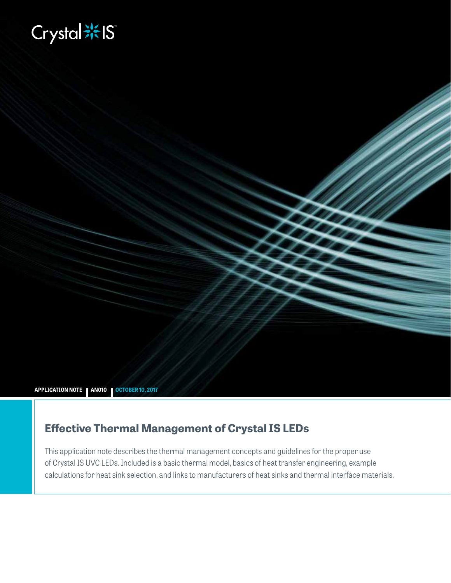# **Biography**

**APPLICATION NOTE AN010 OCTOBER 10, 2017**

# **Effective Thermal Management of Crystal IS LEDs**

This application note describes the thermal management concepts and guidelines for the proper use of Crystal IS UVC LEDs. Included is a basic thermal model, basics of heat transfer engineering, example calculations for heat sink selection, and links to manufacturers of heat sinks and thermal interface materials.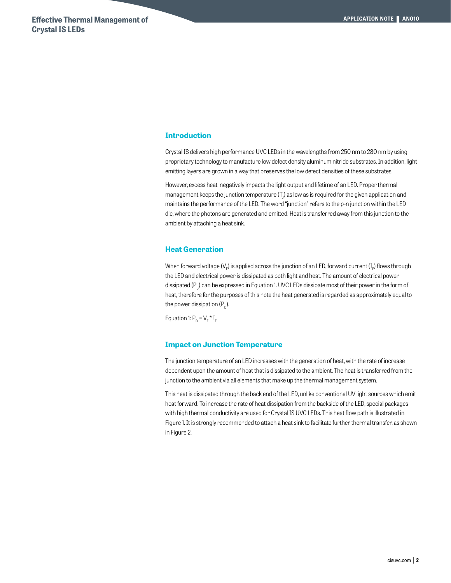# **Introduction**

Crystal IS delivers high performance UVC LEDs in the wavelengths from 250 nm to 280 nm by using proprietary technology to manufacture low defect density aluminum nitride substrates. In addition, light emitting layers are grown in a way that preserves the low defect densities of these substrates.

However, excess heat negatively impacts the light output and lifetime of an LED. Proper thermal management keeps the junction temperature (T $_{\rm j}$ ) as low as is required for the given application and maintains the performance of the LED. The word "junction" refers to the p-n junction within the LED die, where the photons are generated and emitted. Heat is transferred away from this junction to the ambient by attaching a heat sink.

#### **Heat Generation**

When forward voltage (V<sub>F</sub>) is applied across the junction of an LED, forward current (I<sub>F</sub>) flows through the LED and electrical power is dissipated as both light and heat. The amount of electrical power dissipated  $(P_n)$  can be expressed in Equation 1. UVC LEDs dissipate most of their power in the form of heat, therefore for the purposes of this note the heat generated is regarded as approximately equal to the power dissipation  $(P_p)$ .

Equation 1:  $P_D = V_F * I_F$ 

#### **Impact on Junction Temperature**

The junction temperature of an LED increases with the generation of heat, with the rate of increase dependent upon the amount of heat that is dissipated to the ambient. The heat is transferred from the junction to the ambient via all elements that make up the thermal management system.

This heat is dissipated through the back end of the LED, unlike conventional UV light sources which emit heat forward. To increase the rate of heat dissipation from the backside of the LED, special packages with high thermal conductivity are used for Crystal IS UVC LEDs. This heat flow path is illustrated in Figure 1. It is strongly recommended to attach a heat sink to facilitate further thermal transfer, as shown in Figure 2.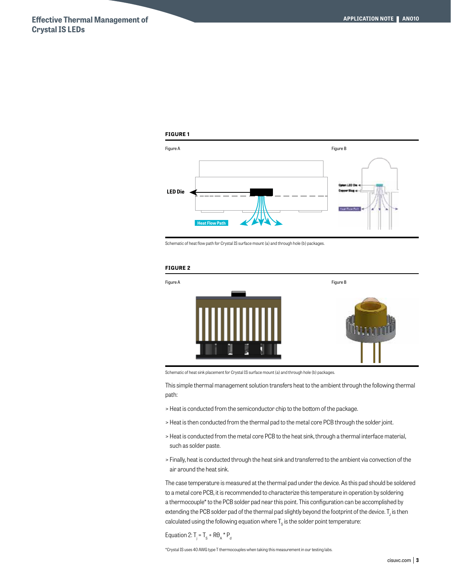#### **FIGURE 1**



Schematic of heat flow path for Crystal IS surface mount (a) and through hole (b) packages.

#### **FIGURE 2**



Schematic of heat sink placement for Crystal IS surface mount (a) and through hole (b) packages.

This simple thermal management solution transfers heat to the ambient through the following thermal path:

- > Heat is conducted from the semiconductor chip to the bottom of the package.
- > Heat is then conducted from the thermal pad to the metal core PCB through the solder joint.
- > Heat is conducted from the metal core PCB to the heat sink, through a thermal interface material, such as solder paste.
- > Finally, heat is conducted through the heat sink and transferred to the ambient via convection of the air around the heat sink.

The case temperature is measured at the thermal pad under the device. As this pad should be soldered to a metal core PCB, it is recommended to characterize this temperature in operation by soldering a thermocouple\* to the PCB solder pad near this point. This configuration can be accomplished by extending the PCB solder pad of the thermal pad slightly beyond the footprint of the device.  $\mathsf{T}_\mathsf{j}$  is then calculated using the following equation where  $\mathsf{T}_\mathrm{s}$  is the solder point temperature:

Equation 2:  $T_i = T_s + R\theta_A * P_d$ 

\*Crystal IS uses 40 AWG type T thermocouples when taking this measurement in our testing labs.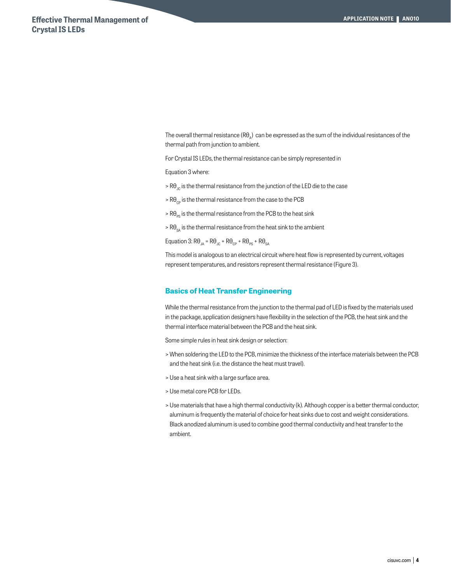The overall thermal resistance  $(Re_\lambda)$  can be expressed as the sum of the individual resistances of the thermal path from junction to ambient.

For Crystal IS LEDs, the thermal resistance can be simply represented in

Equation 3 where:

- $>$  R $\theta_{j,c}$  is the thermal resistance from the junction of the LED die to the case
- $> R\theta_{\rm cp}$  is the thermal resistance from the case to the PCB
- $> R\theta_{\text{PS}}$  is the thermal resistance from the PCB to the heat sink
- $> R\theta_{\rm sa}$  is the thermal resistance from the heat sink to the ambient

Equation 3:  $R\theta_{JA} = R\theta_{JC} + R\theta_{CP} + R\theta_{PS} + R\theta_{SA}$ 

This model is analogous to an electrical circuit where heat flow is represented by current, voltages represent temperatures, and resistors represent thermal resistance (Figure 3).

# **Basics of Heat Transfer Engineering**

While the thermal resistance from the junction to the thermal pad of LED is fixed by the materials used in the package, application designers have flexibility in the selection of the PCB, the heat sink and the thermal interface material between the PCB and the heat sink.

Some simple rules in heat sink design or selection:

- > When soldering the LED to the PCB, minimize the thickness of the interface materials between the PCB and the heat sink (i.e. the distance the heat must travel).
- > Use a heat sink with a large surface area.
- > Use metal core PCB for LEDs.
- > Use materials that have a high thermal conductivity (k). Although copper is a better thermal conductor, aluminum is frequently the material of choice for heat sinks due to cost and weight considerations. Black anodized aluminum is used to combine good thermal conductivity and heat transfer to the ambient.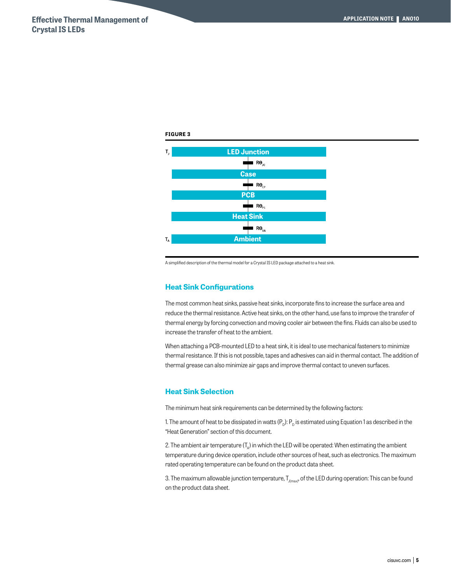

A simplified description of the thermal model for a Crystal IS LED package attached to a heat sink.

# **Heat Sink Configurations**

The most common heat sinks, passive heat sinks, incorporate fins to increase the surface area and reduce the thermal resistance. Active heat sinks, on the other hand, use fans to improve the transfer of thermal energy by forcing convection and moving cooler air between the fins. Fluids can also be used to increase the transfer of heat to the ambient.

When attaching a PCB-mounted LED to a heat sink, it is ideal to use mechanical fasteners to minimize thermal resistance. If this is not possible, tapes and adhesives can aid in thermal contact. The addition of thermal grease can also minimize air gaps and improve thermal contact to uneven surfaces.

# **Heat Sink Selection**

The minimum heat sink requirements can be determined by the following factors:

1. The amount of heat to be dissipated in watts  $(P_p)$ :  $P_p$  is estimated using Equation 1 as described in the "Heat Generation" section of this document.

2. The ambient air temperature  $(T_{\alpha})$  in which the LED will be operated: When estimating the ambient temperature during device operation, include other sources of heat, such as electronics. The maximum rated operating temperature can be found on the product data sheet.

3. The maximum allowable junction temperature,  $T_{J(max)}$ , of the LED during operation: This can be found on the product data sheet.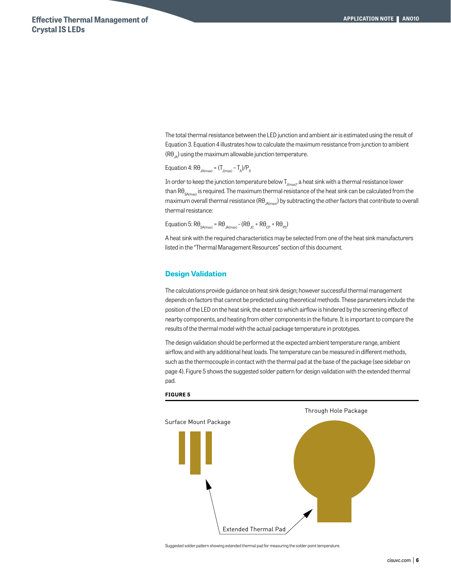The total thermal resistance between the LED junction and ambient air is estimated using the result of Equation 3. Equation 4 illustrates how to calculate the maximum resistance from junction to ambient  $(R\theta_{\mu})$  using the maximum allowable junction temperature.

Equation 4:  $R\theta_{JA(max)} = (T_{J(max)} - T_A)/P_D$ 

In order to keep the junction temperature below  $T_{J(max)}$ , a heat sink with a thermal resistance lower than R $\theta_{\text{S4(mav)}}$  is required. The maximum thermal resistance of the heat sink can be calculated from the maximum overall thermal resistance (RO<sub>JA(max</sub>) by subtracting the other factors that contribute to overall thermal resistance:

Equation 5:  $R\theta_{SA(max)} = R\theta_{IA(max)} - (R\theta_{1C} + R\theta_{CP} + R\theta_{PS})$ 

A heat sink with the required characteristics may be selected from one of the heat sink manufacturers listed in the "Thermal Management Resources" section of this document.

#### **Design Validation**

The calculations provide guidance on heat sink design; however successful thermal management depends on factors that cannot be predicted using theoretical methods. These parameters include the position of the LED on the heat sink, the extent to which airflow is hindered by the screening effect of nearby components, and heating from other components in the fixture. It is important to compare the results of the thermal model with the actual package temperature in prototypes.

The design validation should be performed at the expected ambient temperature range, ambient airflow, and with any additional heat loads. The temperature can be measured in different methods, such as the thermocouple in contact with the thermal pad at the base of the package (see sidebar on page 4). Figure 5 shows the suggested solder pattern for design validation with the extended thermal pad.



#### **FIGURE 5**

Suggested solder pattern showing extended thermal pad for measuring the solder point temperature.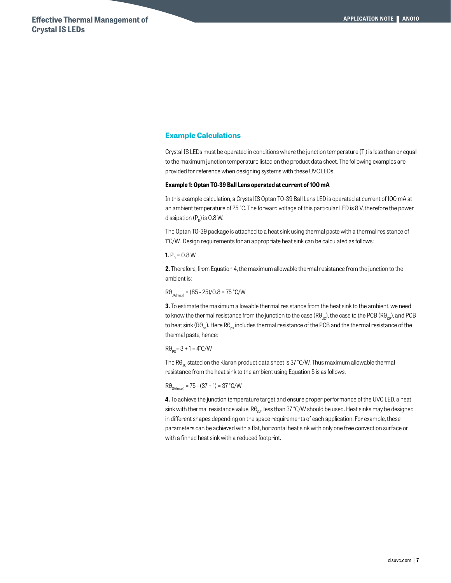# **Example Calculations**

Crystal IS LEDs must be operated in conditions where the junction temperature (T $_{\rm J}$ ) is less than or equal to the maximum junction temperature listed on the product data sheet. The following examples are provided for reference when designing systems with these UVC LEDs.

#### **Example 1: Optan TO-39 Ball Lens operated at current of 100 mA**

In this example calculation, a Crystal IS Optan TO-39 Ball Lens LED is operated at current of 100 mA at an ambient temperature of 25 °C. The forward voltage of this particular LED is 8 V, therefore the power dissipation  $(P_p)$  is 0.8 W.

The Optan TO-39 package is attached to a heat sink using thermal paste with a thermal resistance of 1°C/W. Design requirements for an appropriate heat sink can be calculated as follows:

# **1.**  $P_p = 0.8 W$

**2.** Therefore, from Equation 4, the maximum allowable thermal resistance from the junction to the ambient is:

 $R\theta_{\text{IAMay}} = (85 - 25)/0.8 = 75 \text{ °C/W}$ 

**3.** To estimate the maximum allowable thermal resistance from the heat sink to the ambient, we need to know the thermal resistance from the junction to the case (R $\theta_{jc}$ ), the case to the PCB (R $\theta_{cp}$ ), and PCB to heat sink (RO<sub>ns</sub>). Here RO<sub>ns</sub> includes thermal resistance of the PCB and the thermal resistance of the thermal paste, hence:

 $R\theta_{\rm pc} = 3 + 1 = 4^{\circ}C/W$ 

The R $\theta_{\rm IC}$  stated on the Klaran product data sheet is 37 °C/W. Thus maximum allowable thermal resistance from the heat sink to the ambient using Equation 5 is as follows.

 $R\theta_{\text{SA(mav)}} = 75 - (37 + 1) = 37 \text{ °C/W}$ 

**4.** To achieve the junction temperature target and ensure proper performance of the UVC LED, a heat sink with thermal resistance value,  $R\theta_{SA}$ , less than 37 °C/W should be used. Heat sinks may be designed in different shapes depending on the space requirements of each application. For example, these parameters can be achieved with a flat, horizontal heat sink with only one free convection surface or with a finned heat sink with a reduced footprint.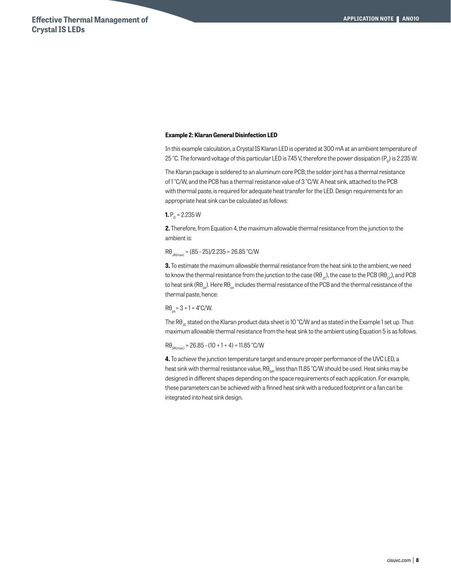#### **Example 2: Klaran General Disinfection LED**

In this example calculation, a Crystal IS Klaran LED is operated at 300 mA at an ambient temperature of 25 °C. The forward voltage of this particular LED is 7.45 V, therefore the power dissipation (P<sub>p</sub>) is 2.235 W.

The Klaran package is soldered to an aluminum core PCB; the solder joint has a thermal resistance of 1 °C/W, and the PCB has a thermal resistance value of 3 °C/W. A heat sink, attached to the PCB with thermal paste, is required for adequate heat transfer for the LED. Design requirements for an appropriate heat sink can be calculated as follows:

#### **1.**  $P_p = 2.235 W$

**2.** Therefore, from Equation 4, the maximum allowable thermal resistance from the junction to the ambient is:

 $R\theta_{\text{JAM}} = (85 - 25)/2.235 = 26.85 \text{ °C/W}$ 

**3.** To estimate the maximum allowable thermal resistance from the heat sink to the ambient, we need to know the thermal resistance from the junction to the case (R $\theta_{\text{C}}$ ), the case to the PCB (R $\theta_{\text{C}}$ ), and PCB to heat sink (R $\theta_{ps}$ ). Here R $\theta_{ps}$  includes thermal resistance of the PCB and the thermal resistance of the thermal paste, hence:

# $R\theta_{\text{ee}} = 3 + 1 = 4^{\circ}C/W.$

The R $\theta_{\nu}$  stated on the Klaran product data sheet is 10 °C/W and as stated in the Example 1 set up. Thus maximum allowable thermal resistance from the heat sink to the ambient using Equation 5 is as follows.

 $R\theta_{\text{SAL}(mav)} = 26.85 - (10 + 1 + 4) = 11.85 \text{ °C/W}$ 

**4.** To achieve the junction temperature target and ensure proper performance of the UVC LED, a heat sink with thermal resistance value,  $R\theta_{\text{ext}}$ , less than 11.85 °C/W should be used. Heat sinks may be designed in different shapes depending on the space requirements of each application. For example, these parameters can be achieved with a finned heat sink with a reduced footprint or a fan can be integrated into heat sink design.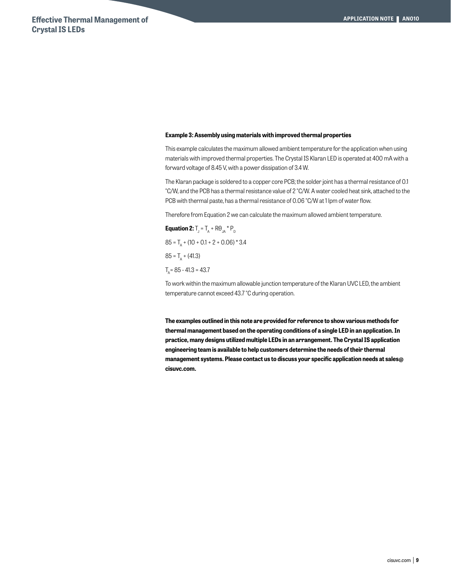#### **Example 3: Assembly using materials with improved thermal properties**

This example calculates the maximum allowed ambient temperature for the application when using materials with improved thermal properties. The Crystal IS Klaran LED is operated at 400 mA with a forward voltage of 8.45 V, with a power dissipation of 3.4 W.

The Klaran package is soldered to a copper core PCB; the solder joint has a thermal resistance of 0.1 °C/W, and the PCB has a thermal resistance value of 2 °C/W. A water cooled heat sink, attached to the PCB with thermal paste, has a thermal resistance of 0.06 °C/W at 1 lpm of water flow.

Therefore from Equation 2 we can calculate the maximum allowed ambient temperature.

**Equation 2:**  $T_J = T_A + R\theta_{JA} * P_D$  $85 = T<sub>A</sub> + (10 + 0.1 + 2 + 0.06) * 3.4$  $85 = T_a + (41.3)$  $T_{\scriptscriptstyle A}$  = 85 - 41.3 = 43.7

To work within the maximum allowable junction temperature of the Klaran UVC LED, the ambient temperature cannot exceed 43.7 °C during operation.

**The examples outlined in this note are provided for reference to show various methods for thermal management based on the operating conditions of a single LED in an application. In practice, many designs utilized multiple LEDs in an arrangement. The Crystal IS application engineering team is available to help customers determine the needs of their thermal management systems. Please contact us to discuss your specific application needs at sales@ cisuvc.com.**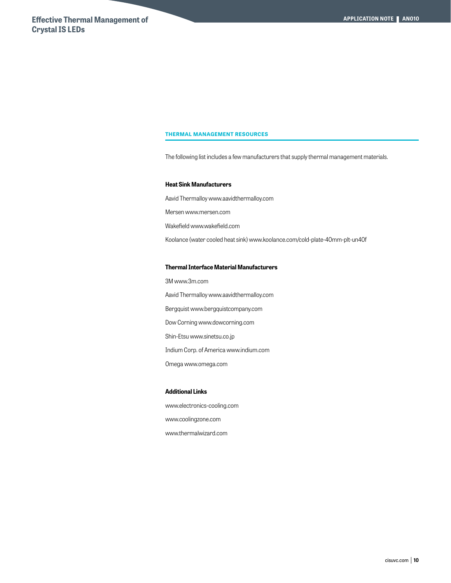#### **THERMAL MANAGEMENT RESOURCES**

The following list includes a few manufacturers that supply thermal management materials.

#### **Heat Sink Manufacturers**

Aavid Thermalloy www.aavidthermalloy.com Mersen www.mersen.com Wakefield www.wakefield.com Koolance (water cooled heat sink) www.koolance.com/cold-plate-40mm-plt-un40f

# **Thermal Interface Material Manufacturers**

3M www.3m.com Aavid Thermalloy www.aavidthermalloy.com Bergquist www.bergquistcompany.com Dow Corning www.dowcorning.com Shin-Etsu www.sinetsu.co.jp Indium Corp. of America www.indium.com Omega www.omega.com

#### **Additional Links**

www.electronics-cooling.com www.coolingzone.com

www.thermalwizard.com